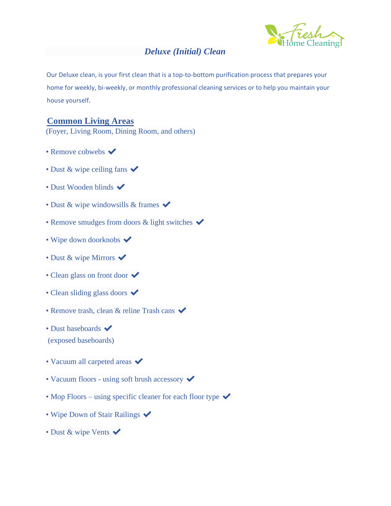# *Deluxe (Initial) Clean*

Our Deluxe clean, is your first clean that is a top-to-bottom purification process that prepares your home for weekly, bi-weekly, or monthly professional cleaning services or to help you maintain your house yourself.

# **Common Living Areas**

(Foyer, Living Room, Dining Room, and others)

- Remove cobwebs  $\checkmark$
- Dust & wipe ceiling fans  $\checkmark$
- Dust Wooden blinds  $\blacktriangleright$
- Dust & wipe windowsills & frames  $\checkmark$
- Remove smudges from doors  $\&$  light switches  $\checkmark$
- Wipe down doorknobs  $\blacktriangledown$
- Dust & wipe Mirrors  $\checkmark$
- Clean glass on front door  $\checkmark$
- Clean sliding glass doors  $\checkmark$
- Remove trash, clean & reline Trash cans  $\checkmark$
- Dust baseboards  $\blacktriangleright$
- (exposed baseboards)
- Vacuum all carpeted areas  $\checkmark$
- Vacuum floors using soft brush accessory  $\checkmark$
- Mop Floors using specific cleaner for each floor type  $\checkmark$
- Wipe Down of Stair Railings  $\checkmark$
- Dust & wipe Vents  $\checkmark$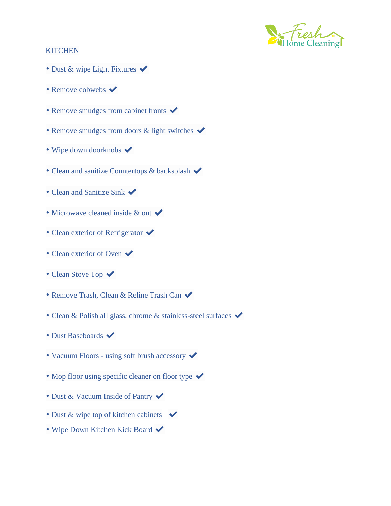

# **KITCHEN**

- Dust & wipe Light Fixtures  $\checkmark$
- Remove cobwebs  $\checkmark$
- Remove smudges from cabinet fronts  $\checkmark$
- Remove smudges from doors  $\&$  light switches  $\checkmark$
- Wipe down doorknobs  $\blacktriangledown$
- Clean and sanitize Countertops & backsplash  $\checkmark$
- Clean and Sanitize Sink  $\checkmark$
- Microwave cleaned inside  $&$  out  $\checkmark$
- Clean exterior of Refrigerator  $\checkmark$
- Clean exterior of Oven  $\checkmark$
- Clean Stove Top  $\checkmark$
- Remove Trash, Clean & Reline Trash Can  $\checkmark$
- Clean & Polish all glass, chrome & stainless-steel surfaces  $\blacktriangledown$
- Dust Baseboards  $\blacktriangleright$
- Vacuum Floors using soft brush accessory  $\checkmark$
- Mop floor using specific cleaner on floor type  $\checkmark$
- Dust & Vacuum Inside of Pantry  $\checkmark$
- Dust & wipe top of kitchen cabinets  $\blacktriangleright$
- Wipe Down Kitchen Kick Board  $\checkmark$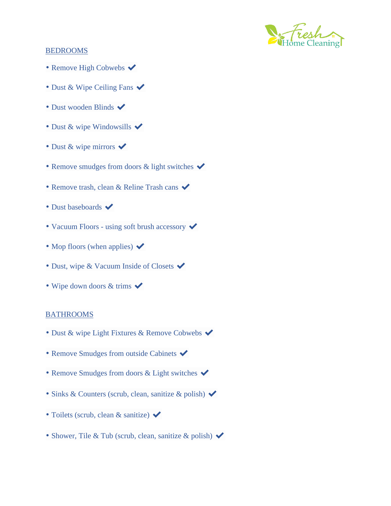

# BEDROOMS

- Remove High Cobwebs  $\checkmark$
- Dust & Wipe Ceiling Fans  $\blacktriangledown$
- Dust wooden Blinds  $\blacktriangledown$
- Dust & wipe Windowsills  $\blacktriangledown$
- Dust & wipe mirrors  $\checkmark$
- Remove smudges from doors  $\&$  light switches  $\checkmark$
- Remove trash, clean & Reline Trash cans  $\checkmark$
- Dust baseboards  $\blacktriangledown$
- Vacuum Floors using soft brush accessory  $\checkmark$
- Mop floors (when applies)  $\blacktriangleright$
- Dust, wipe & Vacuum Inside of Closets  $\blacktriangleright$
- Wipe down doors  $&$  trims  $\checkmark$

#### BATHROOMS

- Dust & wipe Light Fixtures & Remove Cobwebs  $\blacktriangledown$
- Remove Smudges from outside Cabinets  $\blacktriangledown$
- Remove Smudges from doors & Light switches  $\checkmark$
- Sinks & Counters (scrub, clean, sanitize & polish)  $\checkmark$
- Toilets (scrub, clean & sanitize)  $\checkmark$
- Shower, Tile & Tub (scrub, clean, sanitize & polish)  $\blacktriangleright$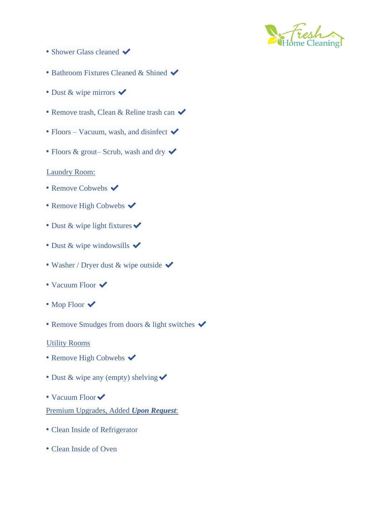

- Shower Glass cleaned  $\blacktriangledown$
- Bathroom Fixtures Cleaned & Shined  $\blacktriangledown$
- Dust & wipe mirrors  $\checkmark$
- Remove trash, Clean & Reline trash can  $\checkmark$
- Floors Vacuum, wash, and disinfect  $\blacktriangleright$
- Floors & grout– Scrub, wash and dry  $\checkmark$

### Laundry Room:

- Remove Cobwebs  $\blacktriangleright$
- Remove High Cobwebs  $\checkmark$
- Dust & wipe light fixtures  $\checkmark$
- Dust & wipe windowsills  $\checkmark$
- Washer / Dryer dust & wipe outside  $\checkmark$
- Vacuum Floor  $\checkmark$
- Mop Floor  $\checkmark$
- Remove Smudges from doors & light switches  $\checkmark$

### Utility Rooms

- Remove High Cobwebs  $\checkmark$
- Dust & wipe any (empty) shelving  $\checkmark$
- Vacuum Floor Premium Upgrades, Added *Upon Request*:
- Clean Inside of Refrigerator
- Clean Inside of Oven